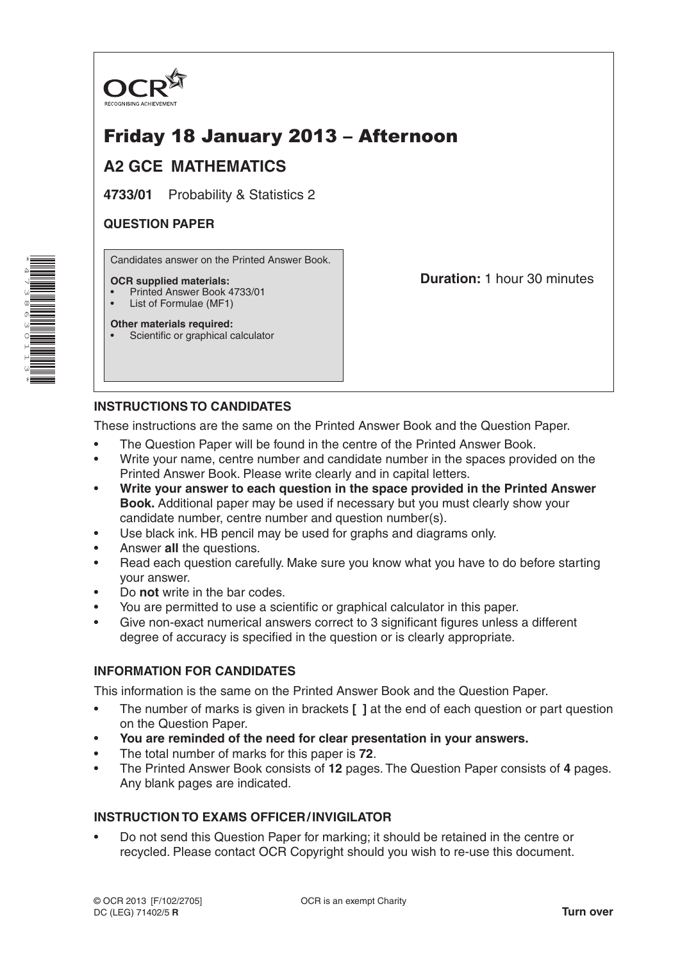

## Friday 18 January 2013 – Afternoon

## **A2 GCE MATHEMATICS**

**4733/01** Probability & Statistics 2

### **QUESTION PAPER**

Candidates answer on the Printed Answer Book.

### **OCR supplied materials:**

- Printed Answer Book 4733/01
- List of Formulae (MF1) **Other materials required:**

**Duration:** 1 hour 30 minutes

# **INSTRUCTIONS TO CANDIDATES**

• Scientific or graphical calculator

These instructions are the same on the Printed Answer Book and the Question Paper.

- The Question Paper will be found in the centre of the Printed Answer Book.
- Write your name, centre number and candidate number in the spaces provided on the Printed Answer Book. Please write clearly and in capital letters.
- **Write your answer to each question in the space provided in the Printed Answer Book.** Additional paper may be used if necessary but you must clearly show your candidate number, centre number and question number(s).
- Use black ink. HB pencil may be used for graphs and diagrams only.
- Answer **all** the questions.
- Read each question carefully. Make sure you know what you have to do before starting your answer.
- Do **not** write in the bar codes.
- You are permitted to use a scientific or graphical calculator in this paper.
- Give non-exact numerical answers correct to 3 significant figures unless a different degree of accuracy is specified in the question or is clearly appropriate.

### **INFORMATION FOR CANDIDATES**

This information is the same on the Printed Answer Book and the Question Paper.

- The number of marks is given in brackets **[ ]** at the end of each question or part question on the Question Paper.
- **You are reminded of the need for clear presentation in your answers.**
- The total number of marks for this paper is **72**.
- The Printed Answer Book consists of **12** pages. The Question Paper consists of **4** pages. Any blank pages are indicated.

### **INSTRUCTION TO EXAMS OFFICER/INVIGILATOR**

• Do not send this Question Paper for marking; it should be retained in the centre or recycled. Please contact OCR Copyright should you wish to re-use this document.

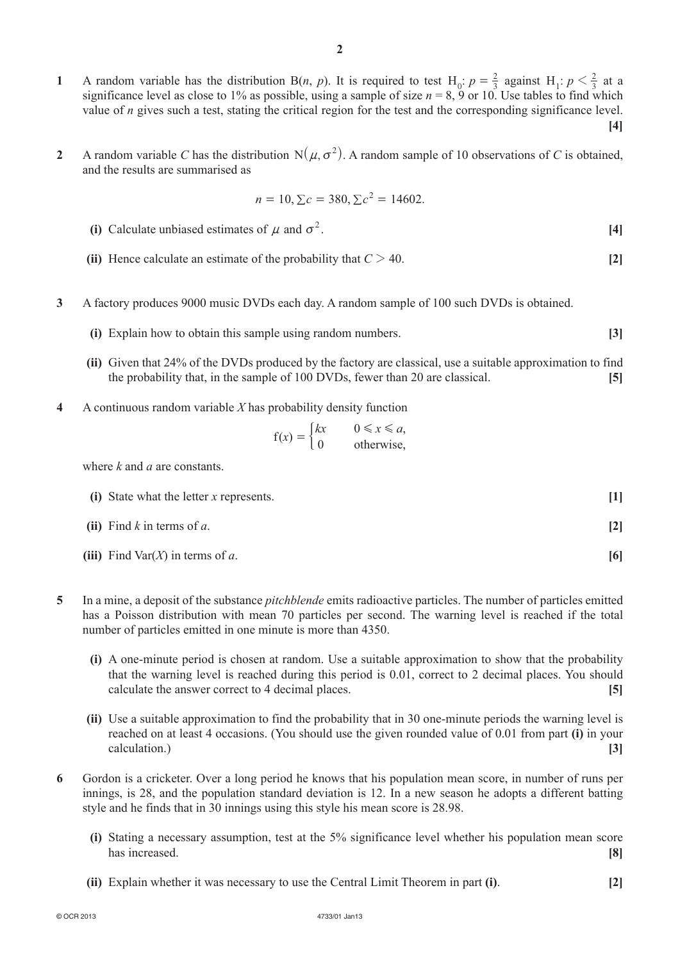- **1** A random variable has the distribution B(*n*, *p*). It is required to test H<sub>0</sub>:  $p = \frac{2}{3}$  against H<sub>1</sub>:  $p < \frac{2}{3}$  at a significance level as close to 1% as possible, using a sample of size  $n = 8$ , 9 or 10. Use tables to find which value of *n* gives such a test, stating the critical region for the test and the corresponding significance level. **[4]**
- **2** A random variable *C* has the distribution  $N(\mu, \sigma^2)$ . A random sample of 10 observations of *C* is obtained, and the results are summarised as

$$
n = 10, \Sigma c = 380, \Sigma c^2 = 14602.
$$

- **(i)** Calculate unbiased estimates of  $\mu$  and  $\sigma^2$ . [4]
- **(ii)** Hence calculate an estimate of the probability that  $C > 40$ . [2]
- **3**  A factory produces 9000 music DVDs each day. A random sample of 100 such DVDs is obtained.
	- **(i)** Explain how to obtain this sample using random numbers. **[3]**
	- **(ii)** Given that 24% of the DVDs produced by the factory are classical, use a suitable approximation to find the probability that, in the sample of 100 DVDs, fewer than 20 are classical. **[5]**
- **4**  A continuous random variable *X* has probability density function

$$
f(x) = \begin{cases} kx & 0 \le x \le a, \\ 0 & \text{otherwise,} \end{cases}
$$

where *k* and *a* are constants.

| (i) State what the letter $x$ represents. |     |
|-------------------------------------------|-----|
| (ii) Find $k$ in terms of $a$ .           |     |
| (iii) Find Var $(X)$ in terms of a.       | [6] |

- **5**  In a mine, a deposit of the substance *pitchblende* emits radioactive particles. The number of particles emitted has a Poisson distribution with mean 70 particles per second. The warning level is reached if the total number of particles emitted in one minute is more than 4350.
	- **(i)** A one-minute period is chosen at random. Use a suitable approximation to show that the probability that the warning level is reached during this period is 0.01, correct to 2 decimal places. You should calculate the answer correct to 4 decimal places. **[5]**
	- **(ii)** Use a suitable approximation to find the probability that in 30 one-minute periods the warning level is reached on at least 4 occasions. (You should use the given rounded value of 0.01 from part **(i)** in your calculation.) **[3]**
- **6**  Gordon is a cricketer. Over a long period he knows that his population mean score, in number of runs per innings, is 28, and the population standard deviation is 12. In a new season he adopts a different batting style and he finds that in 30 innings using this style his mean score is 28.98.
	- **(i)** Stating a necessary assumption, test at the 5% significance level whether his population mean score has increased. **[8]**
	- **(ii)** Explain whether it was necessary to use the Central Limit Theorem in part **(i)**. [2]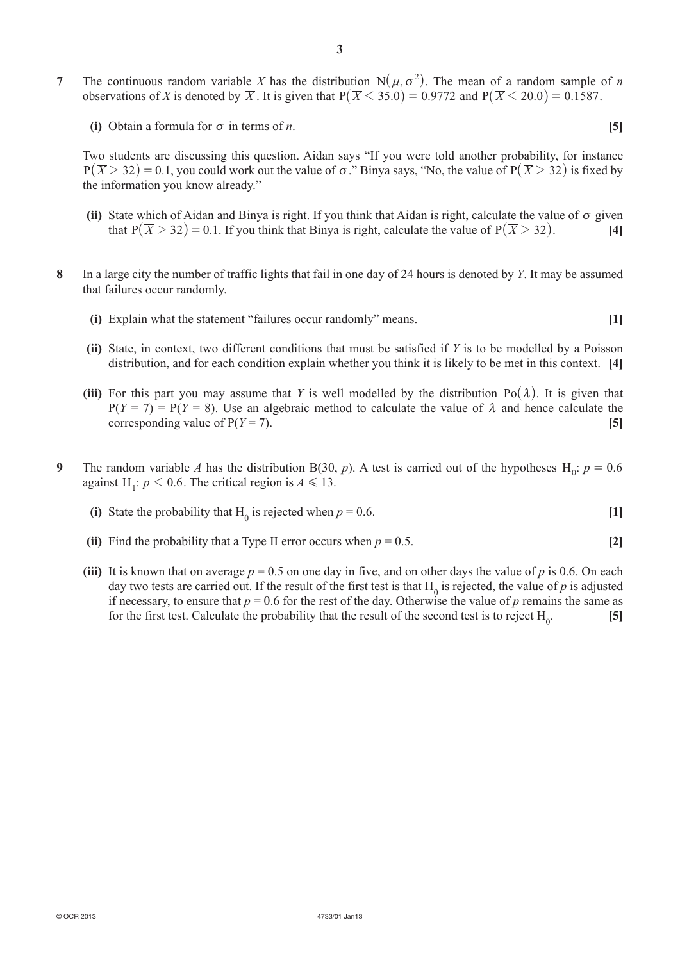- **7** The continuous random variable *X* has the distribution  $N(\mu, \sigma^2)$ . The mean of a random sample of *n* observations of *X* is denoted by  $\overline{X}$ . It is given that  $P(\overline{X} \le 35.0) = 0.9772$  and  $P(\overline{X} \le 20.0) = 0.1587$ .
	- **(i)** Obtain a formula for  $\sigma$  in terms of *n*. **[5]**

Two students are discussing this question. Aidan says "If you were told another probability, for instance  $P(\overline{X} > 32) = 0.1$ , you could work out the value of  $\sigma$ ." Binya says, "No, the value of  $P(\overline{X} > 32)$  is fixed by the information you know already."

- **(ii)** State which of Aidan and Binya is right. If you think that Aidan is right, calculate the value of  $\sigma$  given that  $P(\overline{X} > 32) = 0.1$ . If you think that Binya is right, calculate the value of  $P(\overline{X} > 32)$ . [4]
- **8**  In a large city the number of traffic lights that fail in one day of 24 hours is denoted by *Y*. It may be assumed that failures occur randomly.
	- **(i)** Explain what the statement "failures occur randomly" means. **[1]**
	- **(ii)** State, in context, two different conditions that must be satisfied if *Y* is to be modelled by a Poisson distribution, and for each condition explain whether you think it is likely to be met in this context. **[4]**
	- **(iii)** For this part you may assume that *Y* is well modelled by the distribution  $Po(\lambda)$ . It is given that  $P(Y = 7) = P(Y = 8)$ . Use an algebraic method to calculate the value of  $\lambda$  and hence calculate the corresponding value of  $P(Y = 7)$ . [5]
- **9** The random variable *A* has the distribution B(30, *p*). A test is carried out of the hypotheses H<sub>0</sub>:  $p = 0.6$ against H<sub>1</sub>:  $p < 0.6$ . The critical region is  $A \le 13$ .
- (i) State the probability that  $H_0$  is rejected when  $p = 0.6$ . [1]
	- **(ii)** Find the probability that a Type II error occurs when  $p = 0.5$ . [2]
	- **(iii)** It is known that on average  $p = 0.5$  on one day in five, and on other days the value of *p* is 0.6. On each day two tests are carried out. If the result of the first test is that  $H_0$  is rejected, the value of *p* is adjusted if necessary, to ensure that  $p = 0.6$  for the rest of the day. Otherwise the value of  $p$  remains the same as for the first test. Calculate the probability that the result of the second test is to reject  $H_0$ . . **[5]**